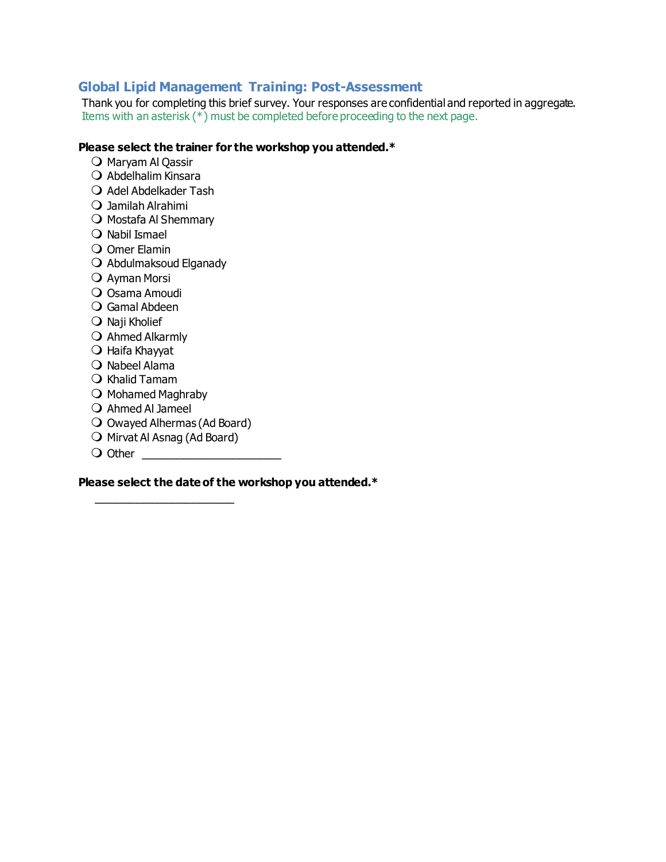## **Global Lipid Management Training: Post-Assessment**

Thank you for completing this brief survey. Your responses are confidential and reported in aggregate. Items with an asterisk (\*) must be completed before proceeding to the next page.

## **Please select the trainer for the workshop you attended.\***

- O Maryam Al Qassir
- $\Omega$  Abdelhalim Kinsara
- $\bigcirc$  Adel Abdelkader Tash
- Jamilah Alrahimi
- $\bigcirc$  Mostafa Al Shemmary
- Nabil Ismael
- Omer Elamin
- Abdulmaksoud Elganady
- O Ayman Morsi
- O Osama Amoudi
- Gamal Abdeen
- Naji Kholief
- Ahmed Alkarmly
- Haifa Khayyat
- O Nabeel Alama
- $\bigcirc$  Khalid Tamam
- $\bigcirc$  Mohamed Maghraby
- $\bigcirc$  Ahmed Al Jameel
- Owayed Alhermas (Ad Board)
- $\bigcirc$  Mirvat Al Asnag (Ad Board)

 $\overline{\phantom{a}}$  , and the set of the set of the set of the set of the set of the set of the set of the set of the set of the set of the set of the set of the set of the set of the set of the set of the set of the set of the s

Other \_\_\_\_\_\_\_\_\_\_\_\_\_\_\_\_\_\_\_\_

**Please select the date of the workshop you attended.\***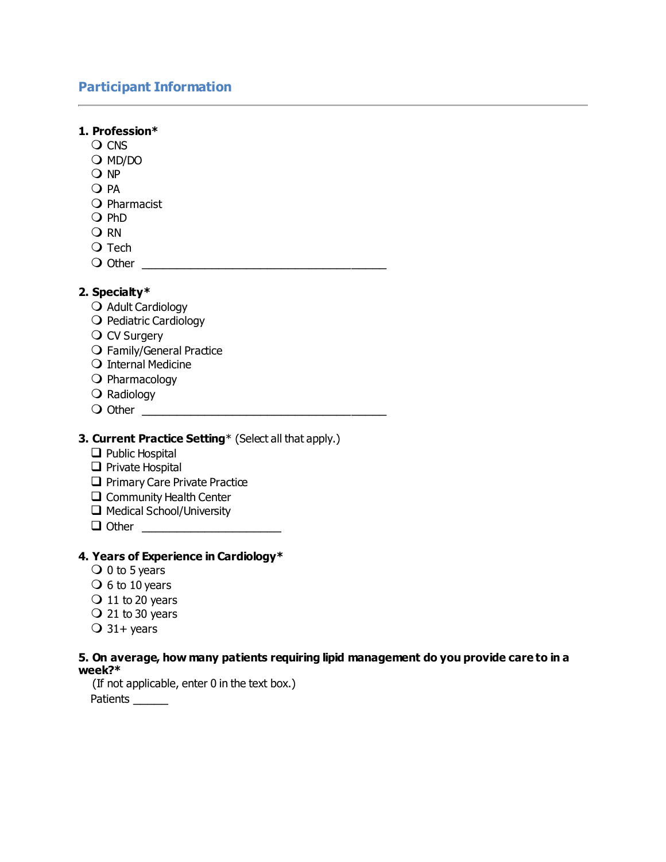# **Participant Information**

| 1. Profession*                                                                                    |
|---------------------------------------------------------------------------------------------------|
| $\bigcirc$ CNS                                                                                    |
| $O$ MD/DO                                                                                         |
| Q NP                                                                                              |
| O PA                                                                                              |
| O Pharmacist<br>$Q$ PhD                                                                           |
| $\bigcirc$ RN                                                                                     |
| $\bigcirc$ Tech                                                                                   |
| $\bigcirc$ Other                                                                                  |
|                                                                                                   |
| 2. Specialty*                                                                                     |
| O Adult Cardiology                                                                                |
| O Pediatric Cardiology                                                                            |
| $\bigcirc$ CV Surgery                                                                             |
| O Family/General Practice                                                                         |
| O Internal Medicine                                                                               |
| $\bigcirc$ Pharmacology                                                                           |
| $\bigcirc$ Radiology                                                                              |
|                                                                                                   |
| 3. Current Practice Setting* (Select all that apply.)                                             |
| $\Box$ Public Hospital                                                                            |
| $\Box$ Private Hospital                                                                           |
| Primary Care Private Practice                                                                     |
| $\Box$ Community Health Center                                                                    |
| Medical School/University                                                                         |
| $\Box$ Other                                                                                      |
|                                                                                                   |
| 4. Years of Experience in Cardiology*                                                             |
| $\bigcirc$ 0 to 5 years                                                                           |
| $\bigcirc$ 6 to 10 years                                                                          |
| $\bigcirc$ 11 to 20 years<br>$\bigcirc$ 21 to 30 years                                            |
|                                                                                                   |
| $\bigcirc$ 31+ years                                                                              |
| 5. On average, how many patients requiring lipid management do you provide care to in a<br>week?* |

(If not applicable, enter 0 in the text box.)

Patients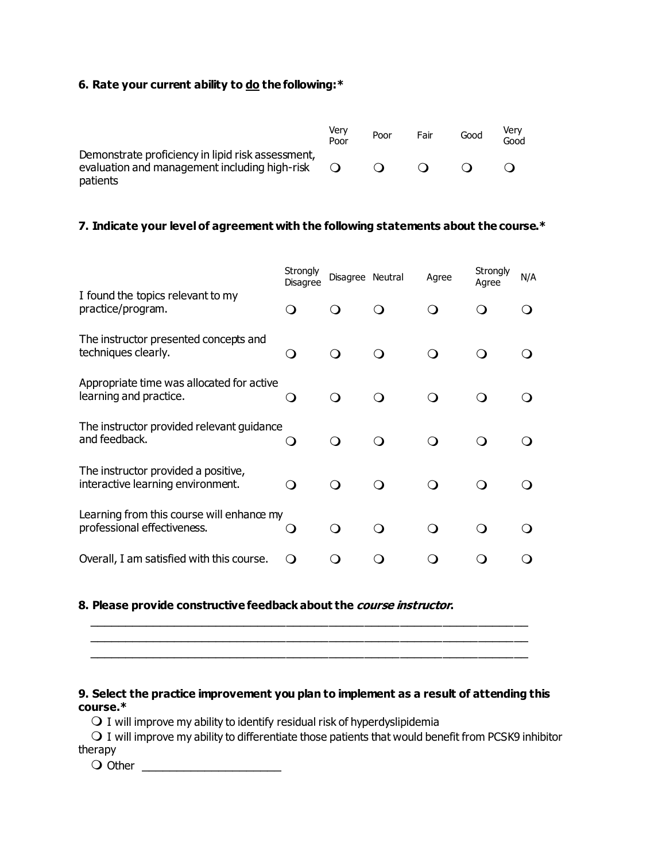## **6. Rate your current ability to do the following:\***

|                                                                                                                | Very<br>Poor | Poor | Fair | Good | Verv<br>Good |
|----------------------------------------------------------------------------------------------------------------|--------------|------|------|------|--------------|
| Demonstrate proficiency in lipid risk assessment,<br>evaluation and management including high-risk<br>patients | $\Omega$     |      |      |      |              |

## **7. Indicate your level of agreement with the following statements about the course.\***

|                                                                          | Strongly<br>Disagree | Disagree Neutral |     | Agree | Strongly<br>Agree | N/A |
|--------------------------------------------------------------------------|----------------------|------------------|-----|-------|-------------------|-----|
| I found the topics relevant to my<br>practice/program.                   | $\Omega$             |                  |     |       |                   |     |
| The instructor presented concepts and<br>techniques clearly.             |                      |                  |     |       |                   |     |
| Appropriate time was allocated for active<br>learning and practice.      |                      | ⌒                | ∩ ⁄ |       |                   |     |
| The instructor provided relevant guidance<br>and feedback.               |                      | ∩ ∕              |     |       |                   |     |
| The instructor provided a positive,<br>interactive learning environment. | $\left( \right)$     |                  |     |       |                   |     |
| Learning from this course will enhance my<br>professional effectiveness. |                      | ு                | ∩ ∕ |       | ∩ ∕               |     |
| Overall, I am satisfied with this course.                                |                      |                  |     |       |                   |     |

## **8. Please provide constructive feedback about the course instructor.**

## \_\_\_\_\_\_\_\_\_\_\_\_\_\_\_\_\_\_\_\_\_\_\_\_\_\_\_\_\_\_\_\_\_\_\_\_\_\_\_\_\_\_\_\_\_\_\_\_\_\_\_\_\_\_\_\_\_\_\_\_\_\_ \_\_\_\_\_\_\_\_\_\_\_\_\_\_\_\_\_\_\_\_\_\_\_\_\_\_\_\_\_\_\_\_\_\_\_\_\_\_\_\_\_\_\_\_\_\_\_\_\_\_\_\_\_\_\_\_\_\_\_\_\_\_

\_\_\_\_\_\_\_\_\_\_\_\_\_\_\_\_\_\_\_\_\_\_\_\_\_\_\_\_\_\_\_\_\_\_\_\_\_\_\_\_\_\_\_\_\_\_\_\_\_\_\_\_\_\_\_\_\_\_\_\_\_\_

## **9. Select the practice improvement you plan to implement as a result of attending this course.\***

 $\bigcirc$  I will improve my ability to identify residual risk of hyperdyslipidemia

 $\bigcirc$  I will improve my ability to differentiate those patients that would benefit from PCSK9 inhibitor therapy

Other \_\_\_\_\_\_\_\_\_\_\_\_\_\_\_\_\_\_\_\_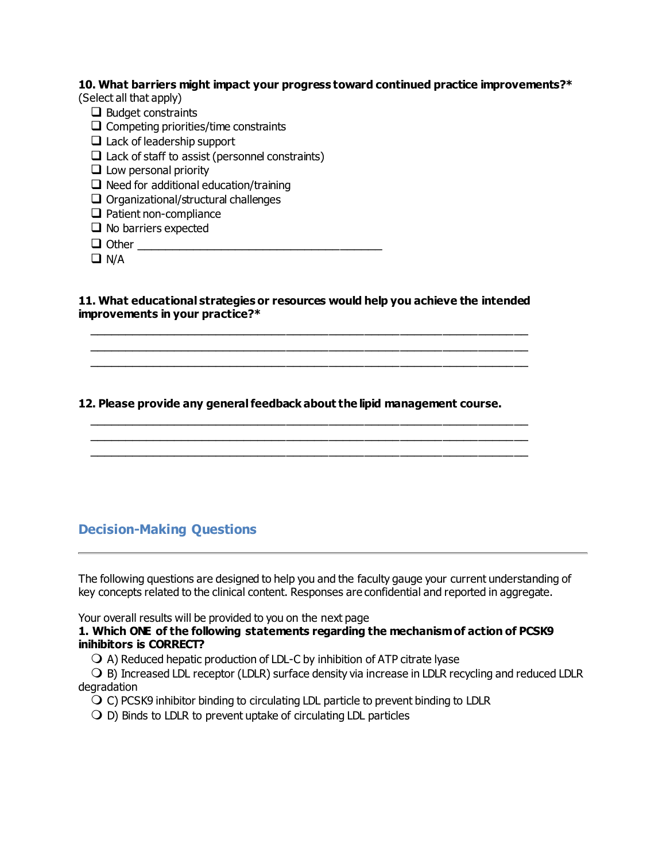## **10. What barriers might impact your progress toward continued practice improvements?\***

(Select all that apply)

- ❑ Budget constraints
- $\Box$  Competing priorities/time constraints
- $\Box$  Lack of leadership support
- $\Box$  Lack of staff to assist (personnel constraints)
- $\Box$  Low personal priority
- $\Box$  Need for additional education/training
- ❑ Organizational/structural challenges
- ❑ Patient non-compliance
- ❑ No barriers expected
- ❑ Other \_\_\_\_\_\_\_\_\_\_\_\_\_\_\_\_\_\_\_\_\_\_\_\_\_\_\_\_\_\_\_\_\_\_\_

❑ N/A

## **11. What educational strategies or resources would help you achieve the intended improvements in your practice?\***

 \_\_\_\_\_\_\_\_\_\_\_\_\_\_\_\_\_\_\_\_\_\_\_\_\_\_\_\_\_\_\_\_\_\_\_\_\_\_\_\_\_\_\_\_\_\_\_\_\_\_\_\_\_\_\_\_\_\_\_\_\_\_ \_\_\_\_\_\_\_\_\_\_\_\_\_\_\_\_\_\_\_\_\_\_\_\_\_\_\_\_\_\_\_\_\_\_\_\_\_\_\_\_\_\_\_\_\_\_\_\_\_\_\_\_\_\_\_\_\_\_\_\_\_\_ \_\_\_\_\_\_\_\_\_\_\_\_\_\_\_\_\_\_\_\_\_\_\_\_\_\_\_\_\_\_\_\_\_\_\_\_\_\_\_\_\_\_\_\_\_\_\_\_\_\_\_\_\_\_\_\_\_\_\_\_\_\_

## **12. Please provide any general feedback about the lipid management course.**

 \_\_\_\_\_\_\_\_\_\_\_\_\_\_\_\_\_\_\_\_\_\_\_\_\_\_\_\_\_\_\_\_\_\_\_\_\_\_\_\_\_\_\_\_\_\_\_\_\_\_\_\_\_\_\_\_\_\_\_\_\_\_ \_\_\_\_\_\_\_\_\_\_\_\_\_\_\_\_\_\_\_\_\_\_\_\_\_\_\_\_\_\_\_\_\_\_\_\_\_\_\_\_\_\_\_\_\_\_\_\_\_\_\_\_\_\_\_\_\_\_\_\_\_\_ \_\_\_\_\_\_\_\_\_\_\_\_\_\_\_\_\_\_\_\_\_\_\_\_\_\_\_\_\_\_\_\_\_\_\_\_\_\_\_\_\_\_\_\_\_\_\_\_\_\_\_\_\_\_\_\_\_\_\_\_\_\_

## **Decision-Making Questions**

The following questions are designed to help you and the faculty gauge your current understanding of key concepts related to the clinical content. Responses are confidential and reported in aggregate.

Your overall results will be provided to you on the next page

## **1. Which ONE of the following statements regarding the mechanism of action of PCSK9 inihibitors is CORRECT?**

 $\bigcirc$  A) Reduced hepatic production of LDL-C by inhibition of ATP citrate lyase

O B) Increased LDL receptor (LDLR) surface density via increase in LDLR recycling and reduced LDLR degradation

 $\overline{Q}$  C) PCSK9 inhibitor binding to circulating LDL particle to prevent binding to LDLR

 $\bigcirc$  D) Binds to LDLR to prevent uptake of circulating LDL particles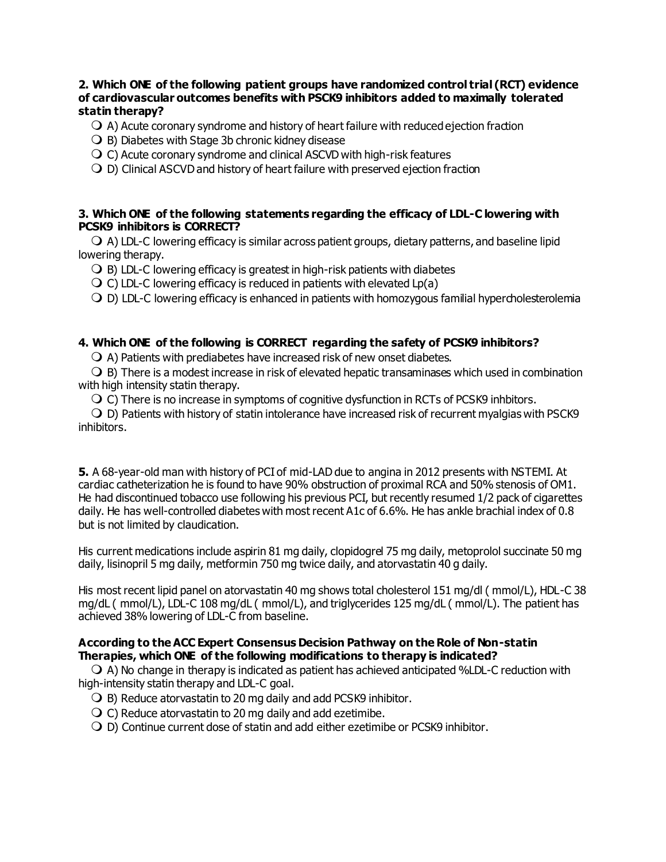## **2. Which ONE of the following patient groups have randomized control trial (RCT) evidence of cardiovascular outcomes benefits with PSCK9 inhibitors added to maximally tolerated statin therapy?**

 $\bigcirc$  A) Acute coronary syndrome and history of heart failure with reduced ejection fraction

 $\bigcirc$  B) Diabetes with Stage 3b chronic kidney disease

 $\overline{O}$  C) Acute coronary syndrome and clinical ASCVD with high-risk features

D) Clinical ASCVD and history of heart failure with preserved ejection fraction

## **3. Which ONE of the following statements regarding the efficacy of LDL-C lowering with PCSK9 inhibitors is CORRECT?**

 $\bigcirc$  A) LDL-C lowering efficacy is similar across patient groups, dietary patterns, and baseline lipid lowering therapy.

 $\bigcirc$  B) LDL-C lowering efficacy is greatest in high-risk patients with diabetes

 $\overline{Q}$  C) LDL-C lowering efficacy is reduced in patients with elevated Lp(a)

D) LDL-C lowering efficacy is enhanced in patients with homozygous familial hypercholesterolemia

## **4. Which ONE of the following is CORRECT regarding the safety of PCSK9 inhibitors?**

 $\bigcirc$  A) Patients with prediabetes have increased risk of new onset diabetes.

 $\bigcirc$  B) There is a modest increase in risk of elevated hepatic transaminases which used in combination with high intensity statin therapy.

C) There is no increase in symptoms of cognitive dysfunction in RCTs of PCSK9 inhbitors.

 D) Patients with history of statin intolerance have increased risk of recurrent myalgias with PSCK9 inhibitors.

**5.** A 68-year-old man with history of PCI of mid-LAD due to angina in 2012 presents with NSTEMI. At cardiac catheterization he is found to have 90% obstruction of proximal RCA and 50% stenosis of OM1. He had discontinued tobacco use following his previous PCI, but recently resumed 1/2 pack of cigarettes daily. He has well-controlled diabetes with most recent A1c of 6.6%. He has ankle brachial index of 0.8 but is not limited by claudication.

His current medications include aspirin 81 mg daily, clopidogrel 75 mg daily, metoprolol succinate 50 mg daily, lisinopril 5 mg daily, metformin 750 mg twice daily, and atorvastatin 40 g daily.

His most recent lipid panel on atorvastatin 40 mg shows total cholesterol 151 mg/dl ( mmol/L), HDL-C 38 mg/dL ( mmol/L), LDL-C 108 mg/dL ( mmol/L), and triglycerides 125 mg/dL ( mmol/L). The patient has achieved 38% lowering of LDL-C from baseline.

## **According to the ACC Expert Consensus Decision Pathway on the Role of Non-statin Therapies, which ONE of the following modifications to therapy is indicated?**

 $\bigcirc$  A) No change in therapy is indicated as patient has achieved anticipated %LDL-C reduction with high-intensity statin therapy and LDL-C goal.

- $\bigcirc$  B) Reduce atorvastatin to 20 mg daily and add PCSK9 inhibitor.
- $\bigcirc$  C) Reduce atorvastatin to 20 mg daily and add ezetimibe.
- D) Continue current dose of statin and add either ezetimibe or PCSK9 inhibitor.